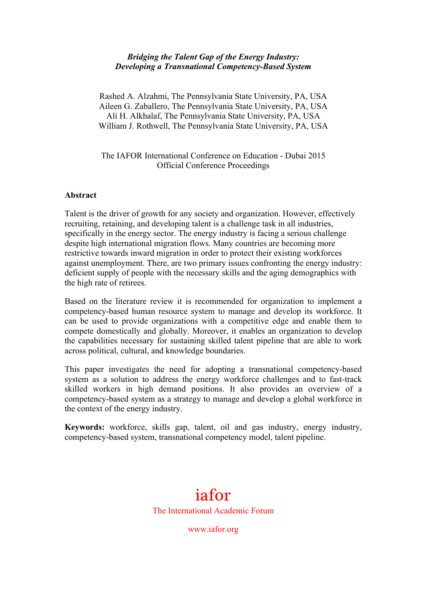#### *Bridging the Talent Gap of the Energy Industry: Developing a Transnational Competency-Based System*

Rashed A. Alzahmi, The Pennsylvania State University, PA, USA Aileen G. Zaballero, The Pennsylvania State University, PA, USA Ali H. Alkhalaf, The Pennsylvania State University, PA, USA William J. Rothwell, The Pennsylvania State University, PA, USA

The IAFOR International Conference on Education - Dubai 2015 Official Conference Proceedings

#### **Abstract**

Talent is the driver of growth for any society and organization. However, effectively recruiting, retaining, and developing talent is a challenge task in all industries, specifically in the energy sector. The energy industry is facing a serious challenge despite high international migration flows. Many countries are becoming more restrictive towards inward migration in order to protect their existing workforces against unemployment. There, are two primary issues confronting the energy industry: deficient supply of people with the necessary skills and the aging demographics with the high rate of retirees.

Based on the literature review it is recommended for organization to implement a competency-based human resource system to manage and develop its workforce. It can be used to provide organizations with a competitive edge and enable them to compete domestically and globally. Moreover, it enables an organization to develop the capabilities necessary for sustaining skilled talent pipeline that are able to work across political, cultural, and knowledge boundaries.

This paper investigates the need for adopting a transnational competency-based system as a solution to address the energy workforce challenges and to fast-track skilled workers in high demand positions. It also provides an overview of a competency-based system as a strategy to manage and develop a global workforce in the context of the energy industry.

**Keywords:** workforce, skills gap, talent, oil and gas industry, energy industry, competency-based system, transnational competency model, talent pipeline.

# iafor The International Academic Forum

www.iafor.org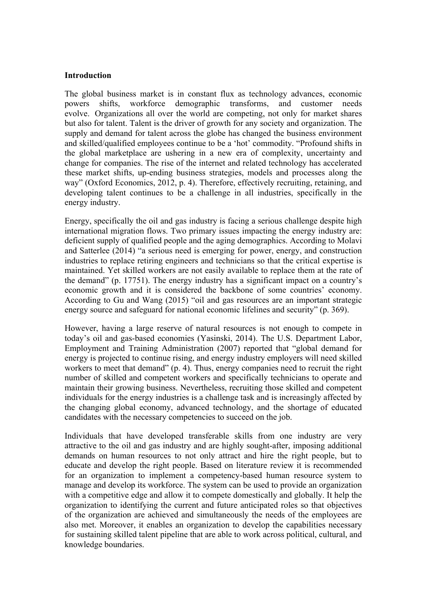#### **Introduction**

The global business market is in constant flux as technology advances, economic powers shifts, workforce demographic transforms, and customer needs evolve. Organizations all over the world are competing, not only for market shares but also for talent. Talent is the driver of growth for any society and organization. The supply and demand for talent across the globe has changed the business environment and skilled/qualified employees continue to be a 'hot' commodity. "Profound shifts in the global marketplace are ushering in a new era of complexity, uncertainty and change for companies. The rise of the internet and related technology has accelerated these market shifts, up-ending business strategies, models and processes along the way" (Oxford Economics, 2012, p. 4). Therefore, effectively recruiting, retaining, and developing talent continues to be a challenge in all industries, specifically in the energy industry.

Energy, specifically the oil and gas industry is facing a serious challenge despite high international migration flows. Two primary issues impacting the energy industry are: deficient supply of qualified people and the aging demographics. According to Molavi and Satterlee (2014) "a serious need is emerging for power, energy, and construction industries to replace retiring engineers and technicians so that the critical expertise is maintained. Yet skilled workers are not easily available to replace them at the rate of the demand" (p. 17751). The energy industry has a significant impact on a country's economic growth and it is considered the backbone of some countries' economy. According to Gu and Wang (2015) "oil and gas resources are an important strategic energy source and safeguard for national economic lifelines and security" (p. 369).

However, having a large reserve of natural resources is not enough to compete in today's oil and gas-based economies (Yasinski, 2014). The U.S. Department Labor, Employment and Training Administration (2007) reported that "global demand for energy is projected to continue rising, and energy industry employers will need skilled workers to meet that demand" (p. 4). Thus, energy companies need to recruit the right number of skilled and competent workers and specifically technicians to operate and maintain their growing business. Nevertheless, recruiting those skilled and competent individuals for the energy industries is a challenge task and is increasingly affected by the changing global economy, advanced technology, and the shortage of educated candidates with the necessary competencies to succeed on the job.

Individuals that have developed transferable skills from one industry are very attractive to the oil and gas industry and are highly sought-after, imposing additional demands on human resources to not only attract and hire the right people, but to educate and develop the right people. Based on literature review it is recommended for an organization to implement a competency-based human resource system to manage and develop its workforce. The system can be used to provide an organization with a competitive edge and allow it to compete domestically and globally. It help the organization to identifying the current and future anticipated roles so that objectives of the organization are achieved and simultaneously the needs of the employees are also met. Moreover, it enables an organization to develop the capabilities necessary for sustaining skilled talent pipeline that are able to work across political, cultural, and knowledge boundaries.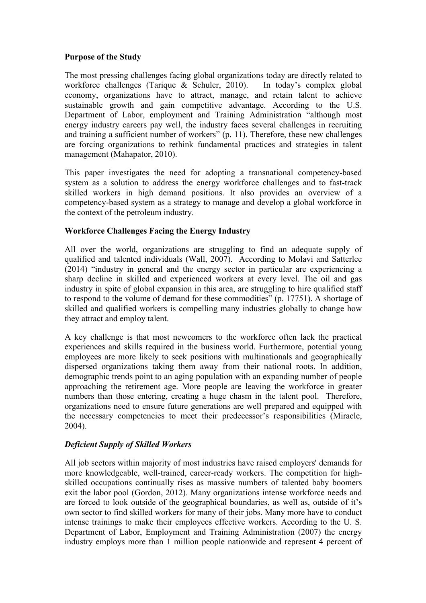## **Purpose of the Study**

The most pressing challenges facing global organizations today are directly related to workforce challenges (Tarique & Schuler, 2010). In today's complex global economy, organizations have to attract, manage, and retain talent to achieve sustainable growth and gain competitive advantage. According to the U.S. Department of Labor, employment and Training Administration "although most energy industry careers pay well, the industry faces several challenges in recruiting and training a sufficient number of workers" (p. 11). Therefore, these new challenges are forcing organizations to rethink fundamental practices and strategies in talent management (Mahapator, 2010).

This paper investigates the need for adopting a transnational competency-based system as a solution to address the energy workforce challenges and to fast-track skilled workers in high demand positions. It also provides an overview of a competency-based system as a strategy to manage and develop a global workforce in the context of the petroleum industry.

## **Workforce Challenges Facing the Energy Industry**

All over the world, organizations are struggling to find an adequate supply of qualified and talented individuals (Wall, 2007). According to Molavi and Satterlee (2014) "industry in general and the energy sector in particular are experiencing a sharp decline in skilled and experienced workers at every level. The oil and gas industry in spite of global expansion in this area, are struggling to hire qualified staff to respond to the volume of demand for these commodities" (p. 17751). A shortage of skilled and qualified workers is compelling many industries globally to change how they attract and employ talent.

A key challenge is that most newcomers to the workforce often lack the practical experiences and skills required in the business world. Furthermore, potential young employees are more likely to seek positions with multinationals and geographically dispersed organizations taking them away from their national roots. In addition, demographic trends point to an aging population with an expanding number of people approaching the retirement age. More people are leaving the workforce in greater numbers than those entering, creating a huge chasm in the talent pool. Therefore, organizations need to ensure future generations are well prepared and equipped with the necessary competencies to meet their predecessor's responsibilities (Miracle, 2004).

## *Deficient Supply of Skilled Workers*

All job sectors within majority of most industries have raised employers' demands for more knowledgeable, well-trained, career-ready workers. The competition for highskilled occupations continually rises as massive numbers of talented baby boomers exit the labor pool (Gordon, 2012). Many organizations intense workforce needs and are forced to look outside of the geographical boundaries, as well as, outside of it's own sector to find skilled workers for many of their jobs. Many more have to conduct intense trainings to make their employees effective workers. According to the U. S. Department of Labor, Employment and Training Administration (2007) the energy industry employs more than 1 million people nationwide and represent 4 percent of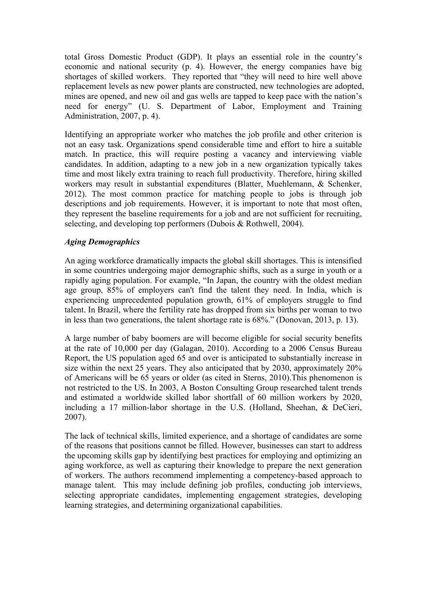total Gross Domestic Product (GDP). It plays an essential role in the country's economic and national security (p. 4). However, the energy companies have big shortages of skilled workers. They reported that "they will need to hire well above replacement levels as new power plants are constructed, new technologies are adopted, mines are opened, and new oil and gas wells are tapped to keep pace with the nation's need for energy" (U. S. Department of Labor, Employment and Training Administration, 2007, p. 4).

Identifying an appropriate worker who matches the job profile and other criterion is not an easy task. Organizations spend considerable time and effort to hire a suitable match. In practice, this will require posting a vacancy and interviewing viable candidates. In addition, adapting to a new job in a new organization typically takes time and most likely extra training to reach full productivity. Therefore, hiring skilled workers may result in substantial expenditures (Blatter, Muehlemann, & Schenker, 2012). The most common practice for matching people to jobs is through job descriptions and job requirements. However, it is important to note that most often, they represent the baseline requirements for a job and are not sufficient for recruiting, selecting, and developing top performers (Dubois & Rothwell, 2004).

# *Aging Demographics*

An aging workforce dramatically impacts the global skill shortages. This is intensified in some countries undergoing major demographic shifts, such as a surge in youth or a rapidly aging population. For example, "In Japan, the country with the oldest median age group, 85% of employers can't find the talent they need. In India, which is experiencing unprecedented population growth, 61% of employers struggle to find talent. In Brazil, where the fertility rate has dropped from six births per woman to two in less than two generations, the talent shortage rate is 68%." (Donovan, 2013, p. 13).

A large number of baby boomers are will become eligible for social security benefits at the rate of 10,000 per day (Galagan, 2010). According to a 2006 Census Bureau Report, the US population aged 65 and over is anticipated to substantially increase in size within the next 25 years. They also anticipated that by 2030, approximately 20% of Americans will be 65 years or older (as cited in Sterns, 2010).This phenomenon is not restricted to the US. In 2003, A Boston Consulting Group researched talent trends and estimated a worldwide skilled labor shortfall of 60 million workers by 2020, including a 17 million-labor shortage in the U.S. (Holland, Sheehan, & DeCieri, 2007).

The lack of technical skills, limited experience, and a shortage of candidates are some of the reasons that positions cannot be filled. However, businesses can start to address the upcoming skills gap by identifying best practices for employing and optimizing an aging workforce, as well as capturing their knowledge to prepare the next generation of workers. The authors recommend implementing a competency-based approach to manage talent. This may include defining job profiles, conducting job interviews, selecting appropriate candidates, implementing engagement strategies, developing learning strategies, and determining organizational capabilities.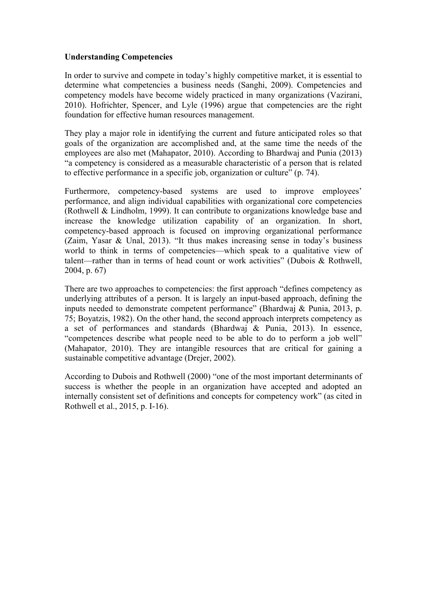#### **Understanding Competencies**

In order to survive and compete in today's highly competitive market, it is essential to determine what competencies a business needs (Sanghi, 2009). Competencies and competency models have become widely practiced in many organizations (Vazirani, 2010). Hofrichter, Spencer, and Lyle (1996) argue that competencies are the right foundation for effective human resources management.

They play a major role in identifying the current and future anticipated roles so that goals of the organization are accomplished and, at the same time the needs of the employees are also met (Mahapator, 2010). According to Bhardwaj and Punia (2013) "a competency is considered as a measurable characteristic of a person that is related to effective performance in a specific job, organization or culture" (p. 74).

Furthermore, competency-based systems are used to improve employees' performance, and align individual capabilities with organizational core competencies (Rothwell & Lindholm, 1999). It can contribute to organizations knowledge base and increase the knowledge utilization capability of an organization. In short, competency-based approach is focused on improving organizational performance (Zaim, Yasar & Unal, 2013). "It thus makes increasing sense in today's business world to think in terms of competencies—which speak to a qualitative view of talent—rather than in terms of head count or work activities" (Dubois & Rothwell, 2004, p. 67)

There are two approaches to competencies: the first approach "defines competency as underlying attributes of a person. It is largely an input-based approach, defining the inputs needed to demonstrate competent performance" (Bhardwaj & Punia, 2013, p. 75; Boyatzis, 1982). On the other hand, the second approach interprets competency as a set of performances and standards (Bhardwaj & Punia, 2013). In essence, "competences describe what people need to be able to do to perform a job well" (Mahapator, 2010). They are intangible resources that are critical for gaining a sustainable competitive advantage (Drejer, 2002).

According to Dubois and Rothwell (2000) "one of the most important determinants of success is whether the people in an organization have accepted and adopted an internally consistent set of definitions and concepts for competency work" (as cited in Rothwell et al., 2015, p. I-16).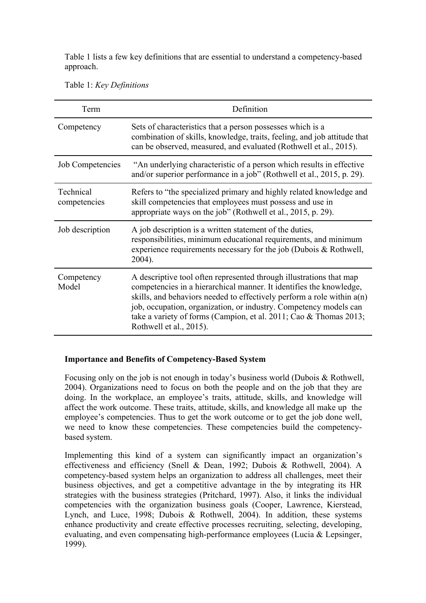Table 1 lists a few key definitions that are essential to understand a competency-based approach.

Table 1: *Key Definitions*

| Term                      | Definition                                                                                                                                                                                                                                                                                                                                                                                  |
|---------------------------|---------------------------------------------------------------------------------------------------------------------------------------------------------------------------------------------------------------------------------------------------------------------------------------------------------------------------------------------------------------------------------------------|
| Competency                | Sets of characteristics that a person possesses which is a<br>combination of skills, knowledge, traits, feeling, and job attitude that<br>can be observed, measured, and evaluated (Rothwell et al., 2015).                                                                                                                                                                                 |
| <b>Job Competencies</b>   | "An underlying characteristic of a person which results in effective<br>and/or superior performance in a job" (Rothwell et al., 2015, p. 29).                                                                                                                                                                                                                                               |
| Technical<br>competencies | Refers to "the specialized primary and highly related knowledge and<br>skill competencies that employees must possess and use in<br>appropriate ways on the job" (Rothwell et al., 2015, p. 29).                                                                                                                                                                                            |
| Job description           | A job description is a written statement of the duties,<br>responsibilities, minimum educational requirements, and minimum<br>experience requirements necessary for the job (Dubois $&$ Rothwell,<br>2004).                                                                                                                                                                                 |
| Competency<br>Model       | A descriptive tool often represented through illustrations that map<br>competencies in a hierarchical manner. It identifies the knowledge,<br>skills, and behaviors needed to effectively perform a role within $a(n)$<br>job, occupation, organization, or industry. Competency models can<br>take a variety of forms (Campion, et al. 2011; Cao & Thomas 2013;<br>Rothwell et al., 2015). |

## **Importance and Benefits of Competency-Based System**

Focusing only on the job is not enough in today's business world (Dubois & Rothwell, 2004). Organizations need to focus on both the people and on the job that they are doing. In the workplace, an employee's traits, attitude, skills, and knowledge will affect the work outcome. These traits, attitude, skills, and knowledge all make up the employee's competencies. Thus to get the work outcome or to get the job done well, we need to know these competencies. These competencies build the competencybased system.

Implementing this kind of a system can significantly impact an organization's effectiveness and efficiency (Snell & Dean, 1992; Dubois & Rothwell, 2004). A competency-based system helps an organization to address all challenges, meet their business objectives, and get a competitive advantage in the by integrating its HR strategies with the business strategies (Pritchard, 1997). Also, it links the individual competencies with the organization business goals (Cooper, Lawrence, Kierstead, Lynch, and Luce, 1998; Dubois & Rothwell, 2004). In addition, these systems enhance productivity and create effective processes recruiting, selecting, developing, evaluating, and even compensating high-performance employees (Lucia & Lepsinger, 1999).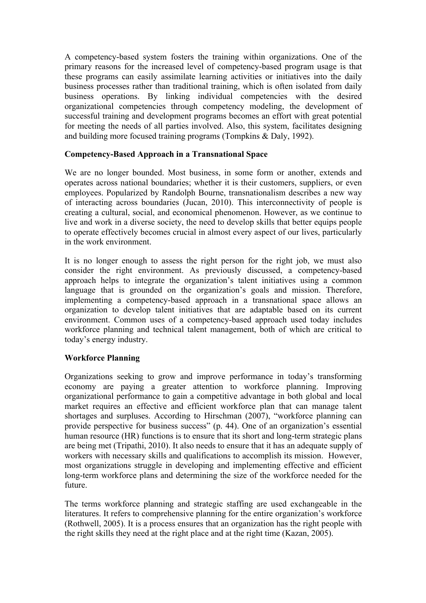A competency-based system fosters the training within organizations. One of the primary reasons for the increased level of competency-based program usage is that these programs can easily assimilate learning activities or initiatives into the daily business processes rather than traditional training, which is often isolated from daily business operations. By linking individual competencies with the desired organizational competencies through competency modeling, the development of successful training and development programs becomes an effort with great potential for meeting the needs of all parties involved. Also, this system, facilitates designing and building more focused training programs (Tompkins & Daly, 1992).

### **Competency-Based Approach in a Transnational Space**

We are no longer bounded. Most business, in some form or another, extends and operates across national boundaries; whether it is their customers, suppliers, or even employees. Popularized by Randolph Bourne, transnationalism describes a new way of interacting across boundaries (Jucan, 2010). This interconnectivity of people is creating a cultural, social, and economical phenomenon. However, as we continue to live and work in a diverse society, the need to develop skills that better equips people to operate effectively becomes crucial in almost every aspect of our lives, particularly in the work environment.

It is no longer enough to assess the right person for the right job, we must also consider the right environment. As previously discussed, a competency-based approach helps to integrate the organization's talent initiatives using a common language that is grounded on the organization's goals and mission. Therefore, implementing a competency-based approach in a transnational space allows an organization to develop talent initiatives that are adaptable based on its current environment. Common uses of a competency-based approach used today includes workforce planning and technical talent management, both of which are critical to today's energy industry.

## **Workforce Planning**

Organizations seeking to grow and improve performance in today's transforming economy are paying a greater attention to workforce planning. Improving organizational performance to gain a competitive advantage in both global and local market requires an effective and efficient workforce plan that can manage talent shortages and surpluses. According to Hirschman (2007), "workforce planning can provide perspective for business success" (p. 44). One of an organization's essential human resource (HR) functions is to ensure that its short and long-term strategic plans are being met (Tripathi, 2010). It also needs to ensure that it has an adequate supply of workers with necessary skills and qualifications to accomplish its mission. However, most organizations struggle in developing and implementing effective and efficient long-term workforce plans and determining the size of the workforce needed for the future.

The terms workforce planning and strategic staffing are used exchangeable in the literatures. It refers to comprehensive planning for the entire organization's workforce (Rothwell, 2005). It is a process ensures that an organization has the right people with the right skills they need at the right place and at the right time (Kazan, 2005).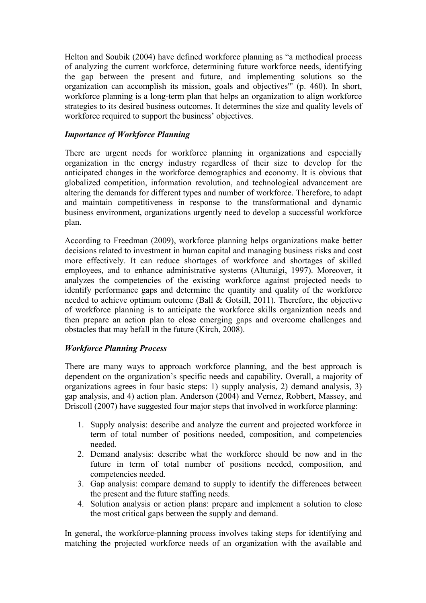Helton and Soubik (2004) have defined workforce planning as "a methodical process of analyzing the current workforce, determining future workforce needs, identifying the gap between the present and future, and implementing solutions so the organization can accomplish its mission, goals and objectives"' (p. 460). In short, workforce planning is a long-term plan that helps an organization to align workforce strategies to its desired business outcomes. It determines the size and quality levels of workforce required to support the business' objectives.

# *Importance of Workforce Planning*

There are urgent needs for workforce planning in organizations and especially organization in the energy industry regardless of their size to develop for the anticipated changes in the workforce demographics and economy. It is obvious that globalized competition, information revolution, and technological advancement are altering the demands for different types and number of workforce. Therefore, to adapt and maintain competitiveness in response to the transformational and dynamic business environment, organizations urgently need to develop a successful workforce plan.

According to Freedman (2009), workforce planning helps organizations make better decisions related to investment in human capital and managing business risks and cost more effectively. It can reduce shortages of workforce and shortages of skilled employees, and to enhance administrative systems (Alturaigi, 1997). Moreover, it analyzes the competencies of the existing workforce against projected needs to identify performance gaps and determine the quantity and quality of the workforce needed to achieve optimum outcome (Ball & Gotsill, 2011). Therefore, the objective of workforce planning is to anticipate the workforce skills organization needs and then prepare an action plan to close emerging gaps and overcome challenges and obstacles that may befall in the future (Kirch, 2008).

## *Workforce Planning Process*

There are many ways to approach workforce planning, and the best approach is dependent on the organization's specific needs and capability. Overall, a majority of organizations agrees in four basic steps: 1) supply analysis, 2) demand analysis, 3) gap analysis, and 4) action plan. Anderson (2004) and Vernez, Robbert, Massey, and Driscoll (2007) have suggested four major steps that involved in workforce planning:

- 1. Supply analysis: describe and analyze the current and projected workforce in term of total number of positions needed, composition, and competencies needed.
- 2. Demand analysis: describe what the workforce should be now and in the future in term of total number of positions needed, composition, and competencies needed.
- 3. Gap analysis: compare demand to supply to identify the differences between the present and the future staffing needs.
- 4. Solution analysis or action plans: prepare and implement a solution to close the most critical gaps between the supply and demand.

In general, the workforce-planning process involves taking steps for identifying and matching the projected workforce needs of an organization with the available and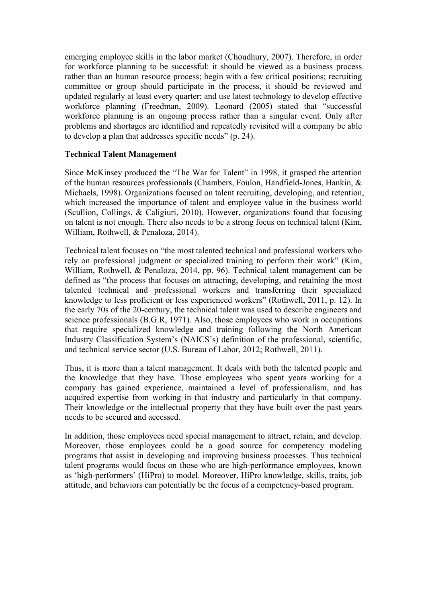emerging employee skills in the labor market (Choudhury, 2007). Therefore, in order for workforce planning to be successful: it should be viewed as a business process rather than an human resource process; begin with a few critical positions; recruiting committee or group should participate in the process, it should be reviewed and updated regularly at least every quarter; and use latest technology to develop effective workforce planning (Freedman, 2009). Leonard (2005) stated that "successful workforce planning is an ongoing process rather than a singular event. Only after problems and shortages are identified and repeatedly revisited will a company be able to develop a plan that addresses specific needs" (p. 24).

### **Technical Talent Management**

Since McKinsey produced the "The War for Talent" in 1998, it grasped the attention of the human resources professionals (Chambers, Foulon, Handfield-Jones, Hankin, & Michaels, 1998). Organizations focused on talent recruiting, developing, and retention, which increased the importance of talent and employee value in the business world (Scullion, Collings, & Caligiuri, 2010). However, organizations found that focusing on talent is not enough. There also needs to be a strong focus on technical talent (Kim, William, Rothwell, & Penaloza, 2014).

Technical talent focuses on "the most talented technical and professional workers who rely on professional judgment or specialized training to perform their work" (Kim, William, Rothwell, & Penaloza, 2014, pp. 96). Technical talent management can be defined as "the process that focuses on attracting, developing, and retaining the most talented technical and professional workers and transferring their specialized knowledge to less proficient or less experienced workers" (Rothwell, 2011, p. 12). In the early 70s of the 20-century, the technical talent was used to describe engineers and science professionals (B.G.R, 1971). Also, those employees who work in occupations that require specialized knowledge and training following the North American Industry Classification System's (NAICS's) definition of the professional, scientific, and technical service sector (U.S. Bureau of Labor, 2012; Rothwell, 2011).

Thus, it is more than a talent management. It deals with both the talented people and the knowledge that they have. Those employees who spent years working for a company has gained experience, maintained a level of professionalism, and has acquired expertise from working in that industry and particularly in that company. Their knowledge or the intellectual property that they have built over the past years needs to be secured and accessed.

In addition, those employees need special management to attract, retain, and develop. Moreover, those employees could be a good source for competency modeling programs that assist in developing and improving business processes. Thus technical talent programs would focus on those who are high-performance employees, known as 'high-performers' (HiPro) to model. Moreover, HiPro knowledge, skills, traits, job attitude, and behaviors can potentially be the focus of a competency-based program.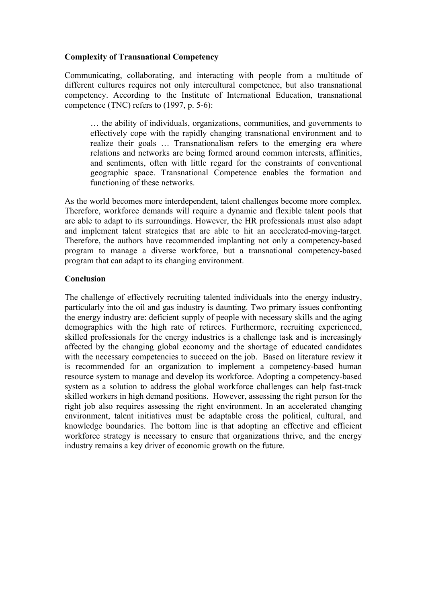### **Complexity of Transnational Competency**

Communicating, collaborating, and interacting with people from a multitude of different cultures requires not only intercultural competence, but also transnational competency. According to the Institute of International Education, transnational competence (TNC) refers to (1997, p. 5-6):

… the ability of individuals, organizations, communities, and governments to effectively cope with the rapidly changing transnational environment and to realize their goals … Transnationalism refers to the emerging era where relations and networks are being formed around common interests, affinities, and sentiments, often with little regard for the constraints of conventional geographic space. Transnational Competence enables the formation and functioning of these networks.

As the world becomes more interdependent, talent challenges become more complex. Therefore, workforce demands will require a dynamic and flexible talent pools that are able to adapt to its surroundings. However, the HR professionals must also adapt and implement talent strategies that are able to hit an accelerated-moving-target. Therefore, the authors have recommended implanting not only a competency-based program to manage a diverse workforce, but a transnational competency-based program that can adapt to its changing environment.

#### **Conclusion**

The challenge of effectively recruiting talented individuals into the energy industry, particularly into the oil and gas industry is daunting. Two primary issues confronting the energy industry are: deficient supply of people with necessary skills and the aging demographics with the high rate of retirees. Furthermore, recruiting experienced, skilled professionals for the energy industries is a challenge task and is increasingly affected by the changing global economy and the shortage of educated candidates with the necessary competencies to succeed on the job. Based on literature review it is recommended for an organization to implement a competency-based human resource system to manage and develop its workforce. Adopting a competency-based system as a solution to address the global workforce challenges can help fast-track skilled workers in high demand positions. However, assessing the right person for the right job also requires assessing the right environment. In an accelerated changing environment, talent initiatives must be adaptable cross the political, cultural, and knowledge boundaries. The bottom line is that adopting an effective and efficient workforce strategy is necessary to ensure that organizations thrive, and the energy industry remains a key driver of economic growth on the future.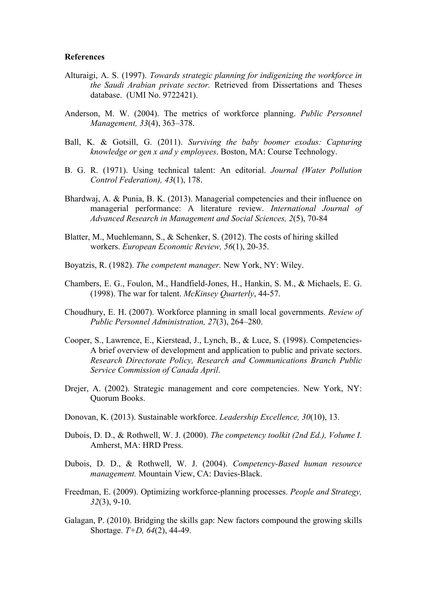#### **References**

- Alturaigi, A. S. (1997). *Towards strategic planning for indigenizing the workforce in the Saudi Arabian private sector.* Retrieved from Dissertations and Theses database. (UMI No. 9722421).
- Anderson, M. W. (2004). The metrics of workforce planning. *Public Personnel Management, 33*(4), 363–378.
- Ball, K. & Gotsill, G. (2011). *Surviving the baby boomer exodus: Capturing knowledge or gen x and y employees*. Boston, MA: Course Technology.
- B. G. R. (1971). Using technical talent: An editorial. *Journal (Water Pollution Control Federation), 43*(1), 178.
- Bhardwaj, A. & Punia, B. K. (2013). Managerial competencies and their influence on managerial performance: A literature review. *International Journal of Advanced Research in Management and Social Sciences, 2*(5), 70-84
- Blatter, M., Muehlemann, S., & Schenker, S. (2012). The costs of hiring skilled workers. *European Economic Review, 56*(1), 20-35.
- Boyatzis, R. (1982). *The competent manager.* New York, NY: Wiley.
- Chambers, E. G., Foulon, M., Handfield-Jones, H., Hankin, S. M., & Michaels, E. G. (1998). The war for talent. *McKinsey Quarterly*, 44-57.
- Choudhury, E. H. (2007). Workforce planning in small local governments. *Review of Public Personnel Administration, 27*(3), 264–280.
- Cooper, S., Lawrence, E., Kierstead, J., Lynch, B., & Luce, S. (1998). Competencies-A brief overview of development and application to public and private sectors. *Research Directorate Policy, Research and Communications Branch Public Service Commission of Canada April*.
- Drejer, A. (2002). Strategic management and core competencies. New York, NY: Quorum Books.
- Donovan, K. (2013). Sustainable workforce. *Leadership Excellence, 30*(10), 13.
- Dubois, D. D., & Rothwell, W. J. (2000). *The competency toolkit (2nd Ed.), Volume I.*  Amherst, MA: HRD Press.
- Dubois, D. D., & Rothwell, W. J. (2004). *Competency-Based human resource management.* Mountain View, CA: Davies-Black.
- Freedman, E. (2009). Optimizing workforce-planning processes. *People and Strategy, 32*(3), 9-10.
- Galagan, P. (2010). Bridging the skills gap: New factors compound the growing skills Shortage. *T+D, 64*(2), 44-49.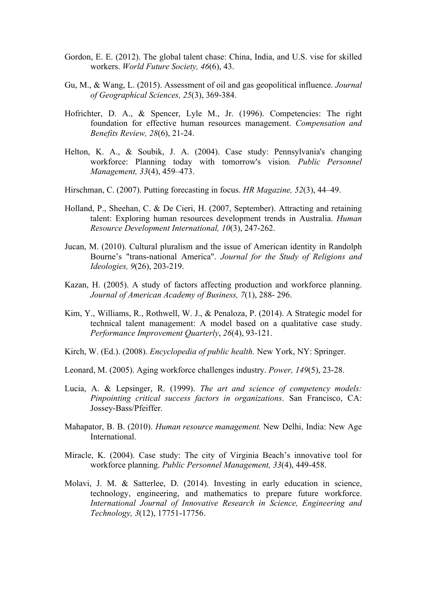- Gordon, E. E. (2012). The global talent chase: China, India, and U.S. vise for skilled workers. *World Future Society, 46*(6), 43.
- Gu, M., & Wang, L. (2015). Assessment of oil and gas geopolitical influence. *Journal of Geographical Sciences, 25*(3), 369-384.
- Hofrichter, D. A., & Spencer, Lyle M., Jr. (1996). Competencies: The right foundation for effective human resources management. *Compensation and Benefits Review, 28*(6), 21-24.
- Helton, K. A., & Soubik, J. A. (2004). Case study: Pennsylvania's changing workforce: Planning today with tomorrow's vision*. Public Personnel Management, 33*(4), 459–473.
- Hirschman, C. (2007). Putting forecasting in focus. *HR Magazine, 52*(3), 44–49.
- Holland, P., Sheehan, C. & De Cieri, H. (2007, September). Attracting and retaining talent: Exploring human resources development trends in Australia. *Human Resource Development International, 10*(3), 247-262.
- Jucan, M. (2010). Cultural pluralism and the issue of American identity in Randolph Bourne's "trans-national America". *Journal for the Study of Religions and Ideologies, 9*(26), 203-219.
- Kazan, H. (2005). A study of factors affecting production and workforce planning. *Journal of American Academy of Business, 7*(1), 288- 296.
- Kim, Y., Williams, R., Rothwell, W. J., & Penaloza, P. (2014). A Strategic model for technical talent management: A model based on a qualitative case study. *Performance Improvement Quarterly*, *26*(4), 93-121.
- Kirch, W. (Ed.). (2008). *Encyclopedia of public health.* New York, NY: Springer.
- Leonard, M. (2005). Aging workforce challenges industry. *Power, 149*(5), 23-28.
- Lucia, A. & Lepsinger, R. (1999). *The art and science of competency models: Pinpointing critical success factors in organizations*. San Francisco, CA: Jossey-Bass/Pfeiffer.
- Mahapator, B. B. (2010). *Human resource management.* New Delhi, India: New Age International.
- Miracle, K. (2004). Case study: The city of Virginia Beach's innovative tool for workforce planning. *Public Personnel Management, 33*(4), 449-458.
- Molavi, J. M. & Satterlee, D. (2014). Investing in early education in science, technology, engineering, and mathematics to prepare future workforce. *International Journal of Innovative Research in Science, Engineering and Technology, 3*(12), 17751-17756.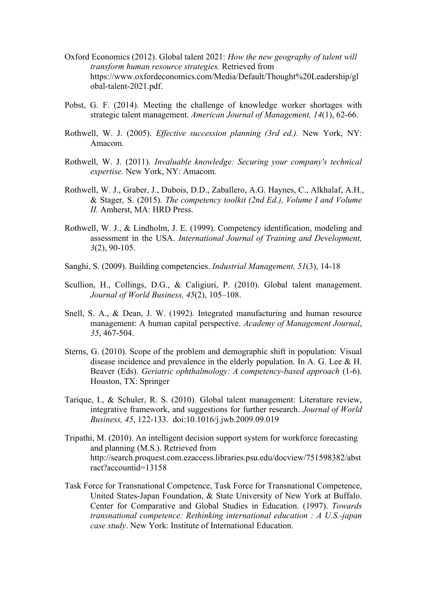- Oxford Economics (2012). Global talent 2021: *How the new geography of talent will transform human resource strategies.* Retrieved from https://www.oxfordeconomics.com/Media/Default/Thought%20Leadership/gl obal-talent-2021.pdf.
- Pobst, G. F. (2014). Meeting the challenge of knowledge worker shortages with strategic talent management. *American Journal of Management, 14*(1), 62-66.
- Rothwell, W. J. (2005). *Effective succession planning (3rd ed.).* New York, NY: Amacom.
- Rothwell, W. J. (2011). *Invaluable knowledge: Securing your company's technical expertise.* New York, NY: Amacom.
- Rothwell, W. J., Graber, J., Dubois, D.D., Zaballero, A.G. Haynes, C., Alkhalaf, A.H., & Stager, S. (2015). *The competency toolkit (2nd Ed.), Volume I and Volume II.* Amherst, MA: HRD Press.
- Rothwell, W. J., & Lindholm, J. E. (1999). Competency identification, modeling and assessment in the USA. *International Journal of Training and Development, 3*(2), 90-105.
- Sanghi, S. (2009). Building competencies. *Industrial Management, 51*(3), 14-18
- Scullion, H., Collings, D.G., & Caligiuri, P. (2010). Global talent management. *Journal of World Business, 45*(2), 105–108.
- Snell, S. A., & Dean, J. W. (1992). Integrated manufacturing and human resource management: A human capital perspective. *Academy of Management Journal*, *35*, 467-504.
- Sterns, G. (2010). Scope of the problem and demographic shift in population: Visual disease incidence and prevalence in the elderly population. In A. G. Lee & H. Beaver (Eds). *Geriatric ophthalmology: A competency-based approach* (1-6). Houston, TX: Springer
- Tarique, I., & Schuler, R. S. (2010). Global talent management: Literature review, integrative framework, and suggestions for further research. *Journal of World Business, 45*, 122-133. doi:10.1016/j.jwb.2009.09.019
- Tripathi, M. (2010). An intelligent decision support system for workforce forecasting and planning (M.S.). Retrieved from http://search.proquest.com.ezaccess.libraries.psu.edu/docview/751598382/abst ract?accountid=13158
- Task Force for Transnational Competence, Task Force for Transnational Competence, United States-Japan Foundation, & State University of New York at Buffalo. Center for Comparative and Global Studies in Education. (1997). *Towards transnational competence: Rethinking international education : A U.S.-japan case study*. New York: Institute of International Education.